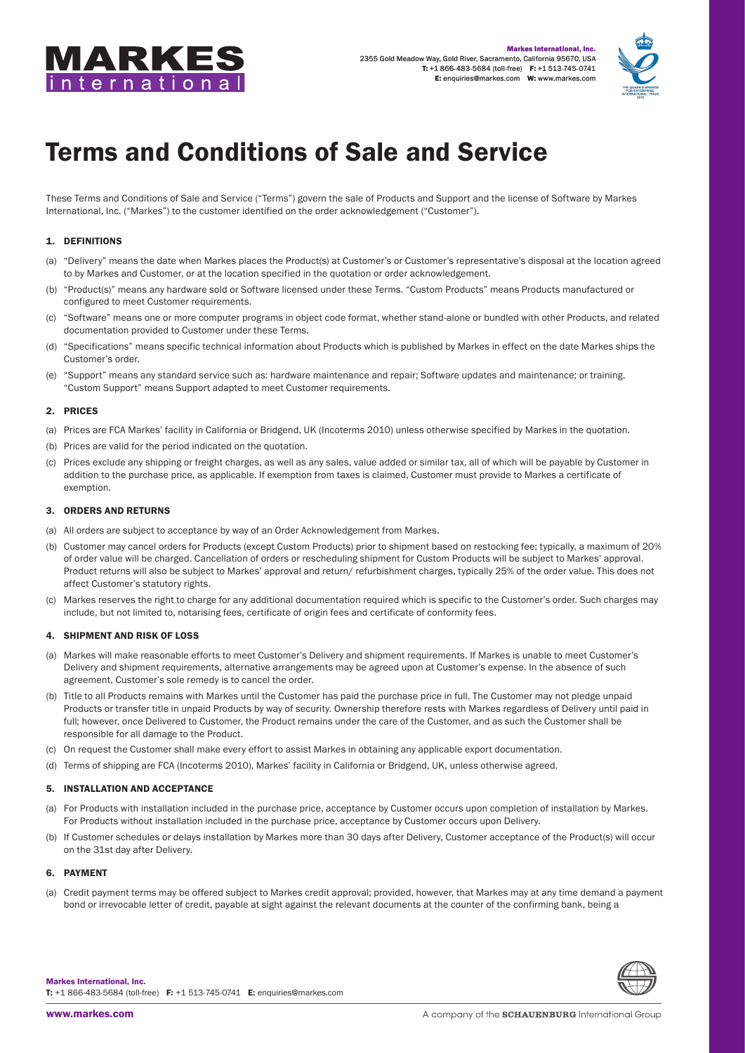



# Terms and Conditions of Sale and Service

These Terms and Conditions of Sale and Service ("Terms") govern the sale of Products and Support and the license of Software by Markes International, Inc. ("Markes") to the customer identified on the order acknowledgement ("Customer").

# 1. DEFINITIONS

- (a) "Delivery" means the date when Markes places the Product(s) at Customer's or Customer's representative's disposal at the location agreed to by Markes and Customer, or at the location specified in the quotation or order acknowledgement.
- (b) "Product(s)" means any hardware sold or Software licensed under these Terms. "Custom Products" means Products manufactured or configured to meet Customer requirements.
- (c) "Software" means one or more computer programs in object code format, whether stand-alone or bundled with other Products, and related documentation provided to Customer under these Terms.
- (d) "Specifications" means specific technical information about Products which is published by Markes in effect on the date Markes ships the Customer's order.
- (e) "Support" means any standard service such as: hardware maintenance and repair; Software updates and maintenance; or training. "Custom Support" means Support adapted to meet Customer requirements.

## 2. PRICES

- (a) Prices are FCA Markes' facility in California or Bridgend, UK (Incoterms 2010) unless otherwise specified by Markes in the quotation.
- (b) Prices are valid for the period indicated on the quotation.
- (c) Prices exclude any shipping or freight charges, as well as any sales, value added or similar tax, all of which will be payable by Customer in addition to the purchase price, as applicable. If exemption from taxes is claimed, Customer must provide to Markes a certificate of exemption.

#### 3. ORDERS AND RETURNS

- (a) All orders are subject to acceptance by way of an Order Acknowledgement from Markes.
- (b) Customer may cancel orders for Products (except Custom Products) prior to shipment based on restocking fee; typically, a maximum of 20% of order value will be charged. Cancellation of orders or rescheduling shipment for Custom Products will be subject to Markes' approval. Product returns will also be subject to Markes' approval and return/ refurbishment charges, typically 25% of the order value. This does not affect Customer's statutory rights.
- (c) Markes reserves the right to charge for any additional documentation required which is specific to the Customer's order. Such charges may include, but not limited to, notarising fees, certificate of origin fees and certificate of conformity fees.

## 4. SHIPMENT AND RISK OF LOSS

- (a) Markes will make reasonable efforts to meet Customer's Delivery and shipment requirements. If Markes is unable to meet Customer's Delivery and shipment requirements, alternative arrangements may be agreed upon at Customer's expense. In the absence of such agreement, Customer's sole remedy is to cancel the order.
- (b) Title to all Products remains with Markes until the Customer has paid the purchase price in full. The Customer may not pledge unpaid Products or transfer title in unpaid Products by way of security. Ownership therefore rests with Markes regardless of Delivery until paid in full; however, once Delivered to Customer, the Product remains under the care of the Customer, and as such the Customer shall be responsible for all damage to the Product.
- (c) On request the Customer shall make every effort to assist Markes in obtaining any applicable export documentation.
- (d) Terms of shipping are FCA (Incoterms 2010), Markes' facility in California or Bridgend, UK, unless otherwise agreed.

## 5. INSTALLATION AND ACCEPTANCE

- (a) For Products with installation included in the purchase price, acceptance by Customer occurs upon completion of installation by Markes. For Products without installation included in the purchase price, acceptance by Customer occurs upon Delivery.
- (b) If Customer schedules or delays installation by Markes more than 30 days after Delivery, Customer acceptance of the Product(s) will occur on the 31st day after Delivery.

#### 6. PAYMENT

(a) Credit payment terms may be offered subject to Markes credit approval; provided, however, that Markes may at any time demand a payment bond or irrevocable letter of credit, payable at sight against the relevant documents at the counter of the confirming bank, being a



Markes International, Inc. T: +1 866-483-5684 (toll-free) F: +1 513-745-0741 E: [enquiries@markes.com](mailto:enquiries%40markes.com?subject=)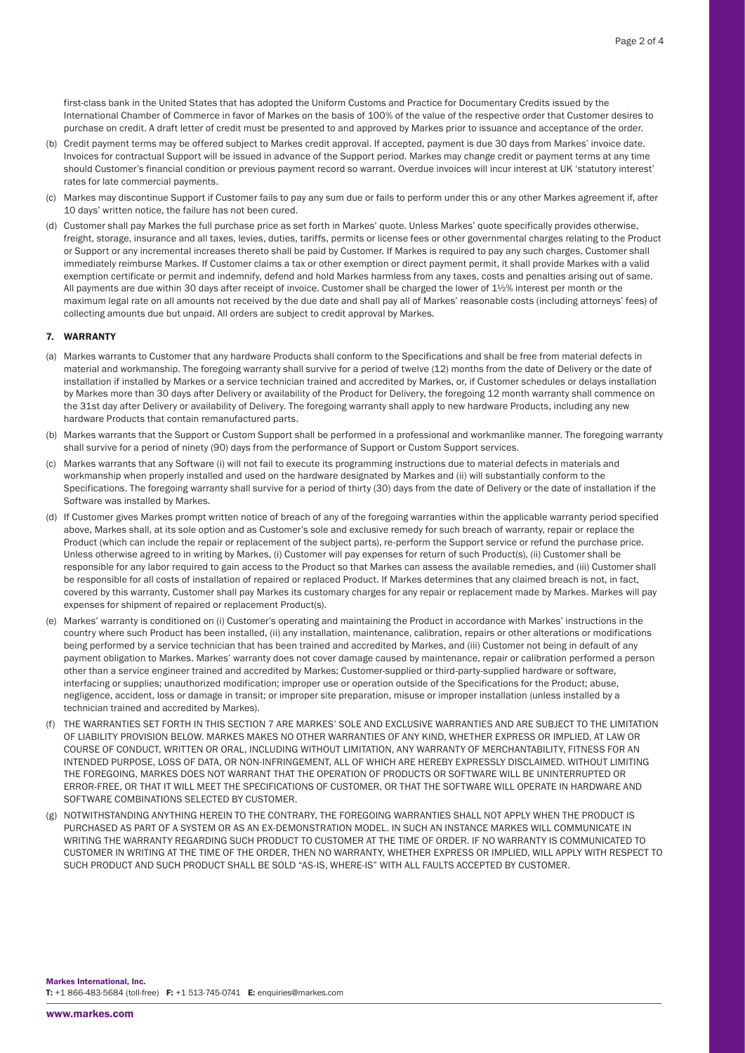first-class bank in the United States that has adopted the Uniform Customs and Practice for Documentary Credits issued by the International Chamber of Commerce in favor of Markes on the basis of 100% of the value of the respective order that Customer desires to purchase on credit. A draft letter of credit must be presented to and approved by Markes prior to issuance and acceptance of the order.

- (b) Credit payment terms may be offered subject to Markes credit approval. If accepted, payment is due 30 days from Markes' invoice date. Invoices for contractual Support will be issued in advance of the Support period. Markes may change credit or payment terms at any time should Customer's financial condition or previous payment record so warrant. Overdue invoices will incur interest at UK 'statutory interest' rates for late commercial payments.
- (c) Markes may discontinue Support if Customer fails to pay any sum due or fails to perform under this or any other Markes agreement if, after 10 days' written notice, the failure has not been cured.
- (d) Customer shall pay Markes the full purchase price as set forth in Markes' quote. Unless Markes' quote specifically provides otherwise, freight, storage, insurance and all taxes, levies, duties, tariffs, permits or license fees or other governmental charges relating to the Product or Support or any incremental increases thereto shall be paid by Customer. If Markes is required to pay any such charges, Customer shall immediately reimburse Markes. If Customer claims a tax or other exemption or direct payment permit, it shall provide Markes with a valid exemption certificate or permit and indemnify, defend and hold Markes harmless from any taxes, costs and penalties arising out of same. All payments are due within 30 days after receipt of invoice. Customer shall be charged the lower of 1½% interest per month or the maximum legal rate on all amounts not received by the due date and shall pay all of Markes' reasonable costs (including attorneys' fees) of collecting amounts due but unpaid. All orders are subject to credit approval by Markes.

#### 7. WARRANTY

- (a) Markes warrants to Customer that any hardware Products shall conform to the Specifications and shall be free from material defects in material and workmanship. The foregoing warranty shall survive for a period of twelve (12) months from the date of Delivery or the date of installation if installed by Markes or a service technician trained and accredited by Markes, or, if Customer schedules or delays installation by Markes more than 30 days after Delivery or availability of the Product for Delivery, the foregoing 12 month warranty shall commence on the 31st day after Delivery or availability of Delivery. The foregoing warranty shall apply to new hardware Products, including any new hardware Products that contain remanufactured parts.
- (b) Markes warrants that the Support or Custom Support shall be performed in a professional and workmanlike manner. The foregoing warranty shall survive for a period of ninety (90) days from the performance of Support or Custom Support services.
- (c) Markes warrants that any Software (i) will not fail to execute its programming instructions due to material defects in materials and workmanship when properly installed and used on the hardware designated by Markes and (ii) will substantially conform to the Specifications. The foregoing warranty shall survive for a period of thirty (30) days from the date of Delivery or the date of installation if the Software was installed by Markes.
- (d) If Customer gives Markes prompt written notice of breach of any of the foregoing warranties within the applicable warranty period specified above, Markes shall, at its sole option and as Customer's sole and exclusive remedy for such breach of warranty, repair or replace the Product (which can include the repair or replacement of the subject parts), re-perform the Support service or refund the purchase price. Unless otherwise agreed to in writing by Markes, (i) Customer will pay expenses for return of such Product(s), (ii) Customer shall be responsible for any labor required to gain access to the Product so that Markes can assess the available remedies, and (iii) Customer shall be responsible for all costs of installation of repaired or replaced Product. If Markes determines that any claimed breach is not, in fact, covered by this warranty, Customer shall pay Markes its customary charges for any repair or replacement made by Markes. Markes will pay expenses for shipment of repaired or replacement Product(s).
- (e) Markes' warranty is conditioned on (i) Customer's operating and maintaining the Product in accordance with Markes' instructions in the country where such Product has been installed, (ii) any installation, maintenance, calibration, repairs or other alterations or modifications being performed by a service technician that has been trained and accredited by Markes, and (iii) Customer not being in default of any payment obligation to Markes. Markes' warranty does not cover damage caused by maintenance, repair or calibration performed a person other than a service engineer trained and accredited by Markes; Customer-supplied or third-party-supplied hardware or software, interfacing or supplies; unauthorized modification; improper use or operation outside of the Specifications for the Product; abuse, negligence, accident, loss or damage in transit; or improper site preparation, misuse or improper installation (unless installed by a technician trained and accredited by Markes).
- (f) THE WARRANTIES SET FORTH IN THIS SECTION 7 ARE MARKES' SOLE AND EXCLUSIVE WARRANTIES AND ARE SUBJECT TO THE LIMITATION OF LIABILITY PROVISION BELOW. MARKES MAKES NO OTHER WARRANTIES OF ANY KIND, WHETHER EXPRESS OR IMPLIED, AT LAW OR COURSE OF CONDUCT, WRITTEN OR ORAL, INCLUDING WITHOUT LIMITATION, ANY WARRANTY OF MERCHANTABILITY, FITNESS FOR AN INTENDED PURPOSE, LOSS OF DATA, OR NON-INFRINGEMENT, ALL OF WHICH ARE HEREBY EXPRESSLY DISCLAIMED. WITHOUT LIMITING THE FOREGOING, MARKES DOES NOT WARRANT THAT THE OPERATION OF PRODUCTS OR SOFTWARE WILL BE UNINTERRUPTED OR ERROR-FREE, OR THAT IT WILL MEET THE SPECIFICATIONS OF CUSTOMER, OR THAT THE SOFTWARE WILL OPERATE IN HARDWARE AND SOFTWARE COMBINATIONS SELECTED BY CUSTOMER.
- (g) NOTWITHSTANDING ANYTHING HEREIN TO THE CONTRARY, THE FOREGOING WARRANTIES SHALL NOT APPLY WHEN THE PRODUCT IS PURCHASED AS PART OF A SYSTEM OR AS AN EX-DEMONSTRATION MODEL. IN SUCH AN INSTANCE MARKES WILL COMMUNICATE IN WRITING THE WARRANTY REGARDING SUCH PRODUCT TO CUSTOMER AT THE TIME OF ORDER. IF NO WARRANTY IS COMMUNICATED TO CUSTOMER IN WRITING AT THE TIME OF THE ORDER, THEN NO WARRANTY, WHETHER EXPRESS OR IMPLIED, WILL APPLY WITH RESPECT TO SUCH PRODUCT AND SUCH PRODUCT SHALL BE SOLD "AS-IS, WHERE-IS" WITH ALL FAULTS ACCEPTED BY CUSTOMER.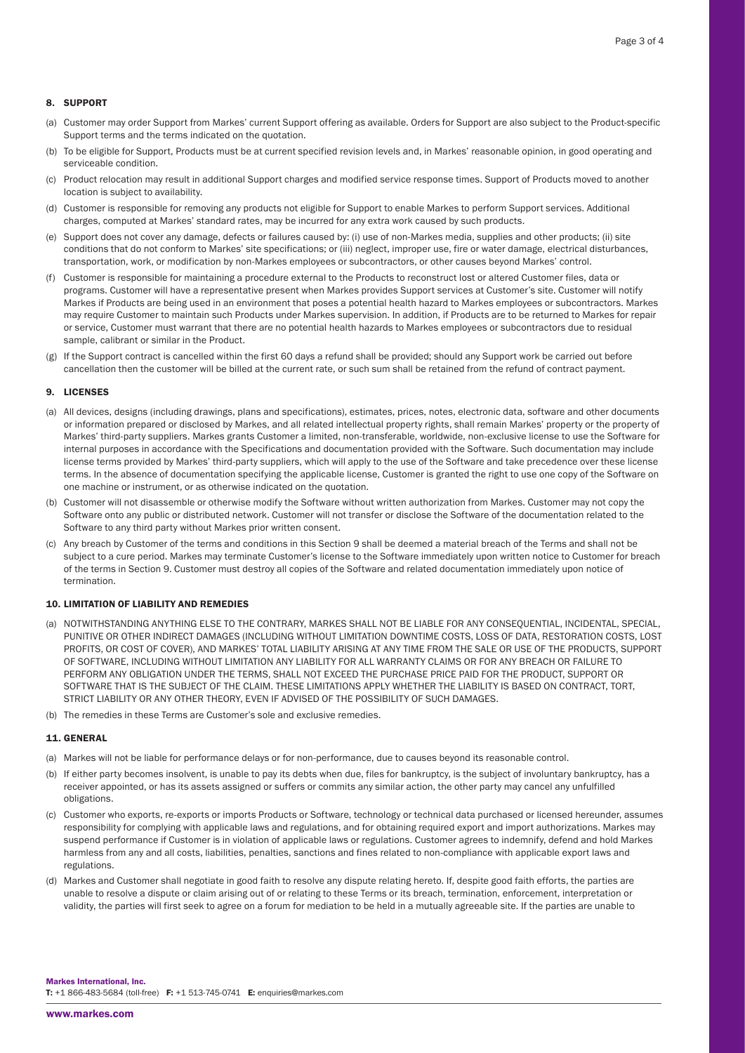## 8. SUPPORT

- (a) Customer may order Support from Markes' current Support offering as available. Orders for Support are also subject to the Product-specific Support terms and the terms indicated on the quotation.
- (b) To be eligible for Support, Products must be at current specified revision levels and, in Markes' reasonable opinion, in good operating and serviceable condition.
- (c) Product relocation may result in additional Support charges and modified service response times. Support of Products moved to another location is subject to availability.
- (d) Customer is responsible for removing any products not eligible for Support to enable Markes to perform Support services. Additional charges, computed at Markes' standard rates, may be incurred for any extra work caused by such products.
- (e) Support does not cover any damage, defects or failures caused by: (i) use of non-Markes media, supplies and other products; (ii) site conditions that do not conform to Markes' site specifications; or (iii) neglect, improper use, fire or water damage, electrical disturbances, transportation, work, or modification by non-Markes employees or subcontractors, or other causes beyond Markes' control.
- (f) Customer is responsible for maintaining a procedure external to the Products to reconstruct lost or altered Customer files, data or programs. Customer will have a representative present when Markes provides Support services at Customer's site. Customer will notify Markes if Products are being used in an environment that poses a potential health hazard to Markes employees or subcontractors. Markes may require Customer to maintain such Products under Markes supervision. In addition, if Products are to be returned to Markes for repair or service, Customer must warrant that there are no potential health hazards to Markes employees or subcontractors due to residual sample, calibrant or similar in the Product.
- (g) If the Support contract is cancelled within the first 60 days a refund shall be provided; should any Support work be carried out before cancellation then the customer will be billed at the current rate, or such sum shall be retained from the refund of contract payment.

#### 9. LICENSES

- (a) All devices, designs (including drawings, plans and specifications), estimates, prices, notes, electronic data, software and other documents or information prepared or disclosed by Markes, and all related intellectual property rights, shall remain Markes' property or the property of Markes' third-party suppliers. Markes grants Customer a limited, non-transferable, worldwide, non-exclusive license to use the Software for internal purposes in accordance with the Specifications and documentation provided with the Software. Such documentation may include license terms provided by Markes' third-party suppliers, which will apply to the use of the Software and take precedence over these license terms. In the absence of documentation specifying the applicable license, Customer is granted the right to use one copy of the Software on one machine or instrument, or as otherwise indicated on the quotation.
- (b) Customer will not disassemble or otherwise modify the Software without written authorization from Markes. Customer may not copy the Software onto any public or distributed network. Customer will not transfer or disclose the Software of the documentation related to the Software to any third party without Markes prior written consent.
- (c) Any breach by Customer of the terms and conditions in this Section 9 shall be deemed a material breach of the Terms and shall not be subject to a cure period. Markes may terminate Customer's license to the Software immediately upon written notice to Customer for breach of the terms in Section 9. Customer must destroy all copies of the Software and related documentation immediately upon notice of termination.

#### 10. LIMITATION OF LIABILITY AND REMEDIES

- (a) NOTWITHSTANDING ANYTHING ELSE TO THE CONTRARY, MARKES SHALL NOT BE LIABLE FOR ANY CONSEQUENTIAL, INCIDENTAL, SPECIAL, PUNITIVE OR OTHER INDIRECT DAMAGES (INCLUDING WITHOUT LIMITATION DOWNTIME COSTS, LOSS OF DATA, RESTORATION COSTS, LOST PROFITS, OR COST OF COVER), AND MARKES' TOTAL LIABILITY ARISING AT ANY TIME FROM THE SALE OR USE OF THE PRODUCTS, SUPPORT OF SOFTWARE, INCLUDING WITHOUT LIMITATION ANY LIABILITY FOR ALL WARRANTY CLAIMS OR FOR ANY BREACH OR FAILURE TO PERFORM ANY OBLIGATION UNDER THE TERMS, SHALL NOT EXCEED THE PURCHASE PRICE PAID FOR THE PRODUCT, SUPPORT OR SOFTWARE THAT IS THE SUBJECT OF THE CLAIM. THESE LIMITATIONS APPLY WHETHER THE LIABILITY IS BASED ON CONTRACT, TORT, STRICT LIABILITY OR ANY OTHER THEORY, EVEN IF ADVISED OF THE POSSIBILITY OF SUCH DAMAGES.
- (b) The remedies in these Terms are Customer's sole and exclusive remedies.

## 11. GENERAL

- (a) Markes will not be liable for performance delays or for non-performance, due to causes beyond its reasonable control.
- (b) If either party becomes insolvent, is unable to pay its debts when due, files for bankruptcy, is the subject of involuntary bankruptcy, has a receiver appointed, or has its assets assigned or suffers or commits any similar action, the other party may cancel any unfulfilled obligations.
- (c) Customer who exports, re-exports or imports Products or Software, technology or technical data purchased or licensed hereunder, assumes responsibility for complying with applicable laws and regulations, and for obtaining required export and import authorizations. Markes may suspend performance if Customer is in violation of applicable laws or regulations. Customer agrees to indemnify, defend and hold Markes harmless from any and all costs, liabilities, penalties, sanctions and fines related to non-compliance with applicable export laws and regulations.
- (d) Markes and Customer shall negotiate in good faith to resolve any dispute relating hereto. If, despite good faith efforts, the parties are unable to resolve a dispute or claim arising out of or relating to these Terms or its breach, termination, enforcement, interpretation or validity, the parties will first seek to agree on a forum for mediation to be held in a mutually agreeable site. If the parties are unable to